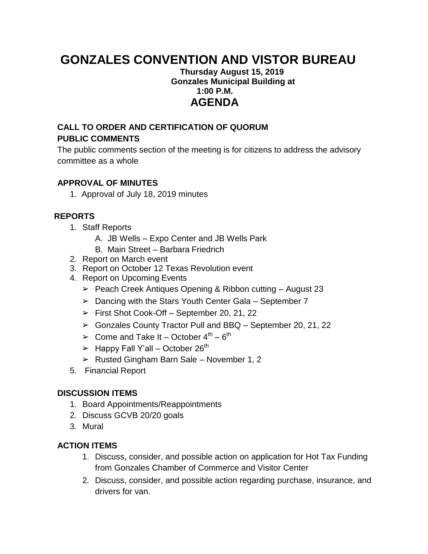# **GONZALES CONVENTION AND VISTOR BUREAU**

## **Thursday August 15, 2019 Gonzales Municipal Building at 1:00 P.M. AGENDA**

## **CALL TO ORDER AND CERTIFICATION OF QUORUM PUBLIC COMMENTS**

The public comments section of the meeting is for citizens to address the advisory committee as a whole

## **APPROVAL OF MINUTES**

1. Approval of July 18, 2019 minutes

## **REPORTS**

- 1. Staff Reports
	- A. JB Wells Expo Center and JB Wells Park
	- B. Main Street Barbara Friedrich
- 2. Report on March event
- 3. Report on October 12 Texas Revolution event
- 4. Report on Upcoming Events
	- ➢ Peach Creek Antiques Opening & Ribbon cutting August 23
	- $\geq$  Dancing with the Stars Youth Center Gala September 7
	- ➢ First Shot Cook-Off September 20, 21, 22
	- ➢ Gonzales County Tractor Pull and BBQ September 20, 21, 22
	- $\triangleright$  Come and Take It October 4<sup>th</sup> 6<sup>th</sup>
	- $\triangleright$  Happy Fall Y'all October 26<sup>th</sup>
	- $\triangleright$  Rusted Gingham Barn Sale November 1, 2
- 5. Financial Report

#### **DISCUSSION ITEMS**

- 1. Board Appointments/Reappointments
- 2. Discuss GCVB 20/20 goals
- 3. Mural

## **ACTION ITEMS**

- 1. Discuss, consider, and possible action on application for Hot Tax Funding from Gonzales Chamber of Commerce and Visitor Center
- 2. Discuss, consider, and possible action regarding purchase, insurance, and drivers for van.